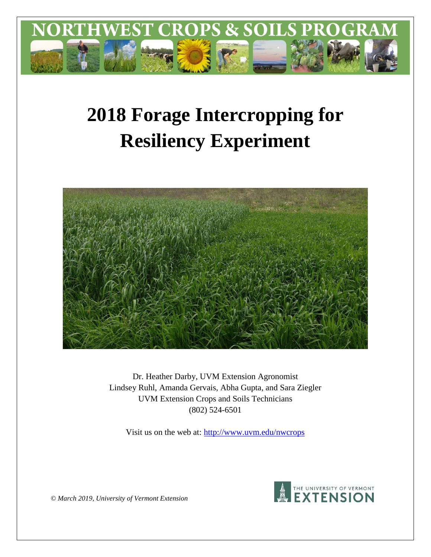

# **2018 Forage Intercropping for Resiliency Experiment**



Dr. Heather Darby, UVM Extension Agronomist Lindsey Ruhl, Amanda Gervais, Abha Gupta, and Sara Ziegler UVM Extension Crops and Soils Technicians (802) 524-6501

Visit us on the web at:<http://www.uvm.edu/nwcrops>



*© March 2019, University of Vermont Extension*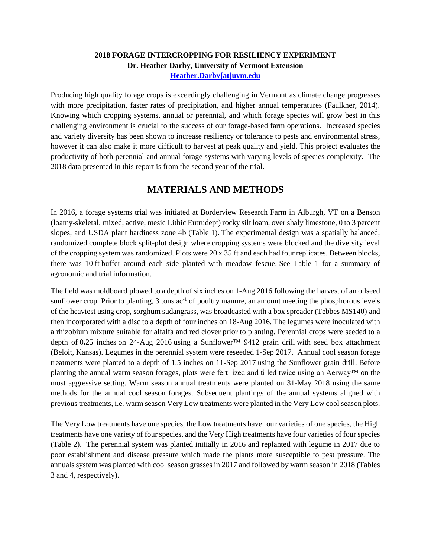## **2018 FORAGE INTERCROPPING FOR RESILIENCY EXPERIMENT Dr. Heather Darby, University of Vermont Extension [Heather.Darby\[at\]uvm.edu](mailto:heather.darby@uvm.edu?subject=2012%20Forage%20Brassica%20Report)**

Producing high quality forage crops is exceedingly challenging in Vermont as climate change progresses with more precipitation, faster rates of precipitation, and higher annual temperatures (Faulkner, 2014). Knowing which cropping systems, annual or perennial, and which forage species will grow best in this challenging environment is crucial to the success of our forage-based farm operations. Increased species and variety diversity has been shown to increase resiliency or tolerance to pests and environmental stress, however it can also make it more difficult to harvest at peak quality and yield. This project evaluates the productivity of both perennial and annual forage systems with varying levels of species complexity. The 2018 data presented in this report is from the second year of the trial.

# **MATERIALS AND METHODS**

In 2016, a forage systems trial was initiated at Borderview Research Farm in Alburgh, VT on a Benson (loamy-skeletal, mixed, active, mesic Lithic Eutrudept) rocky silt loam, over shaly limestone, 0 to 3 percent slopes, and USDA plant hardiness zone 4b (Table 1). The experimental design was a spatially balanced, randomized complete block split-plot design where cropping systems were blocked and the diversity level of the cropping system was randomized. Plots were 20 x 35 ft and each had four replicates. Between blocks, there was 10 ft buffer around each side planted with meadow fescue. See Table 1 for a summary of agronomic and trial information.

The field was moldboard plowed to a depth of six inches on 1-Aug 2016 following the harvest of an oilseed sunflower crop. Prior to planting,  $3 \text{ tons} \text{ ac}^{-1}$  of poultry manure, an amount meeting the phosphorous levels of the heaviest using crop, sorghum sudangrass, was broadcasted with a box spreader (Tebbes MS140) and then incorporated with a disc to a depth of four inches on 18-Aug 2016. The legumes were inoculated with a rhizobium mixture suitable for alfalfa and red clover prior to planting. Perennial crops were seeded to a depth of 0**.**25 inches on 24-Aug 2016 using a Sunflower™ 9412 grain drill with seed box attachment (Beloit, Kansas). Legumes in the perennial system were reseeded 1-Sep 2017.Annual cool season forage treatments were planted to a depth of 1.5 inches on 11-Sep 2017 using the Sunflower grain drill. Before planting the annual warm season forages, plots were fertilized and tilled twice using an Aerway™ on the most aggressive setting. Warm season annual treatments were planted on 31-May 2018 using the same methods for the annual cool season forages. Subsequent plantings of the annual systems aligned with previous treatments, i.e. warm season Very Low treatments were planted in the Very Low cool season plots.

The Very Low treatments have one species, the Low treatments have four varieties of one species, the High treatments have one variety of four species, and the Very High treatments have four varieties of four species (Table 2). The perennial system was planted initially in 2016 and replanted with legume in 2017 due to poor establishment and disease pressure which made the plants more susceptible to pest pressure. The annuals system was planted with cool season grasses in 2017 and followed by warm season in 2018 (Tables 3 and 4, respectively).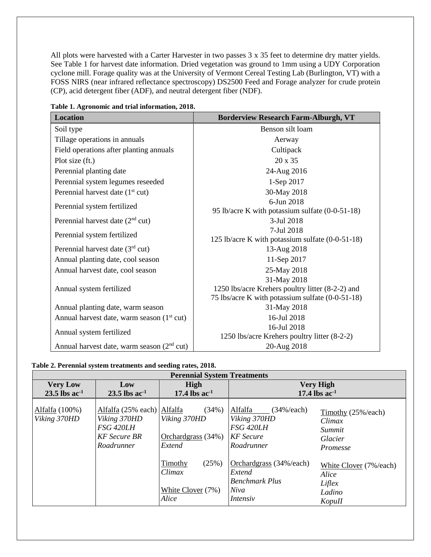All plots were harvested with a Carter Harvester in two passes  $3 \times 35$  feet to determine dry matter yields. See Table 1 for harvest date information. Dried vegetation was ground to 1mm using a UDY Corporation cyclone mill. Forage quality was at the University of Vermont Cereal Testing Lab (Burlington, VT) with a FOSS NIRS (near infrared reflectance spectroscopy) DS2500 Feed and Forage analyzer for crude protein (CP), acid detergent fiber (ADF), and neutral detergent fiber (NDF).

| <b>Location</b>                                        | <b>Borderview Research Farm-Alburgh, VT</b>                    |
|--------------------------------------------------------|----------------------------------------------------------------|
| Soil type                                              | Benson silt loam                                               |
| Tillage operations in annuals                          | Aerway                                                         |
| Field operations after planting annuals                | Cultipack                                                      |
| Plot size (ft.)                                        | 20 x 35                                                        |
| Perennial planting date                                | 24-Aug 2016                                                    |
| Perennial system legumes reseeded                      | 1-Sep 2017                                                     |
| Perennial harvest date $(1st cut)$                     | 30-May 2018                                                    |
| Perennial system fertilized                            | 6-Jun 2018                                                     |
|                                                        | 95 lb/acre K with potassium sulfate (0-0-51-18)                |
| Perennial harvest date $(2nd$ cut)                     | 3-Jul 2018                                                     |
| Perennial system fertilized                            | 7-Jul 2018<br>125 lb/acre K with potassium sulfate (0-0-51-18) |
| Perennial harvest date $(3rd$ cut)                     | 13-Aug 2018                                                    |
| Annual planting date, cool season                      | 11-Sep 2017                                                    |
| Annual harvest date, cool season                       | 25-May 2018                                                    |
|                                                        | 31-May 2018                                                    |
| Annual system fertilized                               | 1250 lbs/acre Krehers poultry litter (8-2-2) and               |
|                                                        | 75 lbs/acre K with potassium sulfate (0-0-51-18)               |
| Annual planting date, warm season                      | 31-May 2018                                                    |
| Annual harvest date, warm season (1 <sup>st</sup> cut) | 16-Jul 2018                                                    |
| Annual system fertilized                               | 16-Jul 2018                                                    |
|                                                        | 1250 lbs/acre Krehers poultry litter (8-2-2)                   |
| Annual harvest date, warm season $(2nd cut)$           | 20-Aug 2018                                                    |

**Table 1. Agronomic and trial information, 2018.**

#### **Table 2. Perennial system treatments and seeding rates, 2018.**

| <b>Perennial System Treatments</b>             |                                                                                                     |                                                            |                                                                                           |                                                                      |  |  |
|------------------------------------------------|-----------------------------------------------------------------------------------------------------|------------------------------------------------------------|-------------------------------------------------------------------------------------------|----------------------------------------------------------------------|--|--|
| <b>Very Low</b><br>$23.5$ lbs ac <sup>-1</sup> | Low<br>$23.5$ lbs ac <sup>-1</sup>                                                                  | High<br>17.4 lbs $ac^{-1}$                                 | <b>Very High</b><br>17.4 lbs $ac^{-1}$                                                    |                                                                      |  |  |
| Alfalfa (100%)<br>Viking 370HD                 | Alfalfa (25% each) Alfalfa<br>Viking 370HD<br><b>FSG 420LH</b><br><b>KF</b> Secure BR<br>Roadrunner | (34%)<br>Viking 370HD<br>Orchardgrass (34%)<br>Extend      | Alfalfa<br>$(34\% / each)$<br>Viking 370HD<br>FSG 420LH<br><b>KF</b> Secure<br>Roadrunner | Timothy (25%/each)<br>Climax<br>Summit<br>Glacier<br><i>Promesse</i> |  |  |
|                                                |                                                                                                     | (25%)<br>Timothy<br>Climax<br>White Clover $(7%)$<br>Alice | Orchardgrass (34%/each)<br>Extend<br><b>Benchmark Plus</b><br>Niva<br>Intensiv            | White Clover (7%/each)<br>Alice<br>Liflex<br>Ladino<br>KopuII        |  |  |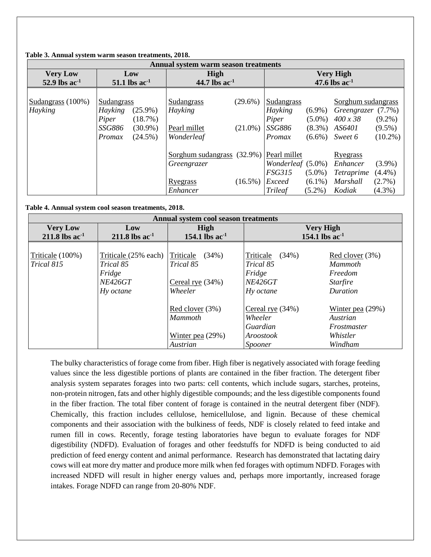| Annual system warm season treatments |                                                 |                            |                  |                        |                        |                                          |                        |  |
|--------------------------------------|-------------------------------------------------|----------------------------|------------------|------------------------|------------------------|------------------------------------------|------------------------|--|
| <b>Very Low</b>                      | Low                                             | <b>High</b>                | <b>Very High</b> |                        |                        |                                          |                        |  |
| 52.9 lbs $ac^{-1}$                   | 51.1 lbs $ac^{-1}$                              | 44.7 lbs $ac^{-1}$         |                  |                        |                        | 47.6 lbs $ac^{-1}$                       |                        |  |
| Sudangrass (100%)<br>Hayking         | Sudangrass<br>Hayking<br>$(25.9\%)$             | Sudangrass<br>Hayking      | $(29.6\%)$       | Sudangrass<br>Hayking  | $(6.9\%)$              | Sorghum sudangrass<br>Greengrazer (7.7%) |                        |  |
|                                      | (18.7%)<br>Piper<br><b>SSG886</b><br>$(30.9\%)$ | Pearl millet               | $(21.0\%)$       | Piper<br><i>SSG886</i> | $(5.0\%)$<br>$(8.3\%)$ | $400 \times 38$<br>AS6401                | $(9.2\%)$<br>$(9.5\%)$ |  |
|                                      | $(24.5\%)$<br>Promax                            | Wonderleaf                 |                  | Promax                 | $(6.6\%)$              | Sweet 6                                  | $(10.2\%)$             |  |
|                                      |                                                 | Sorghum sudangrass (32.9%) |                  | Pearl millet           |                        | <u>Ryegrass</u>                          |                        |  |
|                                      |                                                 | Greengrazer                |                  | Wonderleaf (5.0%)      |                        | Enhancer                                 | $(3.9\%)$              |  |
|                                      |                                                 |                            |                  | <b>FSG315</b>          | $(5.0\%)$              | <i>Tetraprime</i>                        | $(4.4\%)$              |  |
|                                      |                                                 | Ryegrass                   | $(16.5\%)$       | Exceed                 | $(6.1\%)$              | Marshall                                 | $(2.7\%)$              |  |
|                                      |                                                 | Enhancer                   |                  | Trileaf                | $(5.2\%)$              | Kodiak                                   | $(4.3\%)$              |  |

#### **Table 3. Annual system warm season treatments, 2018.**

**Table 4. Annual system cool season treatments, 2018.**

| Annual system cool season treatments            |                                                                            |                                                                |                                                                          |                                                                             |  |  |
|-------------------------------------------------|----------------------------------------------------------------------------|----------------------------------------------------------------|--------------------------------------------------------------------------|-----------------------------------------------------------------------------|--|--|
| <b>Very Low</b><br>$211.8$ lbs ac <sup>-1</sup> | Low<br>$211.8$ lbs ac <sup>-1</sup>                                        | <b>High</b><br>154.1 lbs $ac^{-1}$                             | <b>Very High</b><br>154.1 lbs $ac^{-1}$                                  |                                                                             |  |  |
| Triticale (100%)<br>Trical 815                  | Triticale (25% each)<br>Trical 85<br>Fridge<br><b>NE426GT</b><br>Hy octane | Triticale<br>(34%)<br>Trical 85<br>Cereal rye (34%)<br>Wheeler | Triticale<br>(34%)<br>Trical 85<br>Fridge<br><b>NE426GT</b><br>Hy octane | Red clover (3%)<br><b>Mammoth</b><br>Freedom<br><b>Starfire</b><br>Duration |  |  |
|                                                 |                                                                            | Red clover (3%)<br>Mammoth<br>Winter pea (29%)<br>Austrian     | Cereal rye $(34%)$<br>Wheeler<br>Guardian<br>Aroostook<br>Spooner        | Winter pea $(29%)$<br>Austrian<br>Frostmaster<br>Whistler<br>Windham        |  |  |

The bulky characteristics of forage come from fiber. High fiber is negatively associated with forage feeding values since the less digestible portions of plants are contained in the fiber fraction. The detergent fiber analysis system separates forages into two parts: cell contents, which include sugars, starches, proteins, non-protein nitrogen, fats and other highly digestible compounds; and the less digestible components found in the fiber fraction. The total fiber content of forage is contained in the neutral detergent fiber (NDF). Chemically, this fraction includes cellulose, hemicellulose, and lignin. Because of these chemical components and their association with the bulkiness of feeds, NDF is closely related to feed intake and rumen fill in cows. Recently, forage testing laboratories have begun to evaluate forages for NDF digestibility (NDFD). Evaluation of forages and other feedstuffs for NDFD is being conducted to aid prediction of feed energy content and animal performance. Research has demonstrated that lactating dairy cows will eat more dry matter and produce more milk when fed forages with optimum NDFD. Forages with increased NDFD will result in higher energy values and, perhaps more importantly, increased forage intakes. Forage NDFD can range from 20-80% NDF.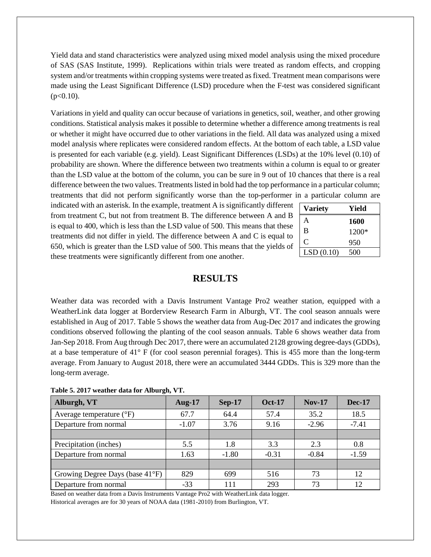Yield data and stand characteristics were analyzed using mixed model analysis using the mixed procedure of SAS (SAS Institute, 1999). Replications within trials were treated as random effects, and cropping system and/or treatments within cropping systems were treated as fixed. Treatment mean comparisons were made using the Least Significant Difference (LSD) procedure when the F-test was considered significant  $(p<0.10)$ .

Variations in yield and quality can occur because of variations in genetics, soil, weather, and other growing conditions. Statistical analysis makes it possible to determine whether a difference among treatments is real or whether it might have occurred due to other variations in the field. All data was analyzed using a mixed model analysis where replicates were considered random effects. At the bottom of each table, a LSD value is presented for each variable (e.g. yield). Least Significant Differences (LSDs) at the 10% level (0.10) of probability are shown. Where the difference between two treatments within a column is equal to or greater than the LSD value at the bottom of the column, you can be sure in 9 out of 10 chances that there is a real difference between the two values. Treatments listed in bold had the top performance in a particular column; treatments that did not perform significantly worse than the top-performer in a particular column are

indicated with an asterisk. In the example, treatment A is significantly different from treatment C, but not from treatment B. The difference between A and B is equal to 400, which is less than the LSD value of 500. This means that these treatments did not differ in yield. The difference between A and C is equal to 650, which is greater than the LSD value of 500. This means that the yields of these treatments were significantly different from one another.

| <b>Variety</b> | Yield |
|----------------|-------|
| A              | 1600  |
| B              | 1200* |
| C              | 950   |
| LSD(0.10)      | 500   |

## **RESULTS**

Weather data was recorded with a Davis Instrument Vantage Pro2 weather station, equipped with a WeatherLink data logger at Borderview Research Farm in Alburgh, VT. The cool season annuals were established in Aug of 2017. Table 5 shows the weather data from Aug-Dec 2017 and indicates the growing conditions observed following the planting of the cool season annuals. Table 6 shows weather data from Jan-Sep 2018. From Aug through Dec 2017, there were an accumulated 2128 growing degree-days (GDDs), at a base temperature of 41° F (for cool season perennial forages). This is 455 more than the long-term average. From January to August 2018, there were an accumulated 3444 GDDs. This is 329 more than the long-term average.

| Table 5. 2017 weather data for Alburgh, VT. |  |  |  |  |
|---------------------------------------------|--|--|--|--|
|---------------------------------------------|--|--|--|--|

| Alburgh, VT                       | Aug- $17$ | $Sep-17$ | <b>Oct-17</b> | $Nov-17$ | <b>Dec-17</b> |
|-----------------------------------|-----------|----------|---------------|----------|---------------|
| Average temperature $(^{\circ}F)$ | 67.7      | 64.4     | 57.4          | 35.2     | 18.5          |
| Departure from normal             | $-1.07$   | 3.76     | 9.16          | $-2.96$  | $-7.41$       |
|                                   |           |          |               |          |               |
| Precipitation (inches)            | 5.5       | 1.8      | 3.3           | 2.3      | 0.8           |
| Departure from normal             | 1.63      | $-1.80$  | $-0.31$       | $-0.84$  | $-1.59$       |
|                                   |           |          |               |          |               |
| Growing Degree Days (base 41°F)   | 829       | 699      | 516           | 73       | 12            |
| Departure from normal             | $-33$     | 111      | 293           | 73       | 12            |

Based on weather data from a Davis Instruments Vantage Pro2 with WeatherLink data logger. Historical averages are for 30 years of NOAA data (1981-2010) from Burlington, VT.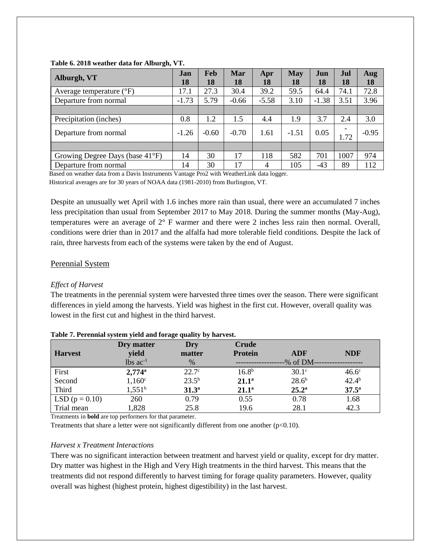| Alburgh, VT                         | Jan<br>18 | Feb<br>18 | Mar<br>18 | Apr<br>18      | <b>May</b><br>18 | Jun<br>18 | Jul<br>18                        | Aug<br>18 |
|-------------------------------------|-----------|-----------|-----------|----------------|------------------|-----------|----------------------------------|-----------|
| Average temperature $({}^{\circ}F)$ | 17.1      | 27.3      | 30.4      | 39.2           | 59.5             | 64.4      | 74.1                             | 72.8      |
| Departure from normal               | $-1.73$   | 5.79      | $-0.66$   | $-5.58$        | 3.10             | $-1.38$   | 3.51                             | 3.96      |
|                                     |           |           |           |                |                  |           |                                  |           |
| Precipitation (inches)              | 0.8       | 1.2       | 1.5       | 4.4            | 1.9              | 3.7       | 2.4                              | 3.0       |
| Departure from normal               | $-1.26$   | $-0.60$   | $-0.70$   | 1.61           | $-1.51$          | 0.05      | $\overline{\phantom{a}}$<br>1.72 | $-0.95$   |
|                                     |           |           |           |                |                  |           |                                  |           |
| Growing Degree Days (base 41°F)     | 14        | 30        | 17        | 118            | 582              | 701       | 1007                             | 974       |
| Departure from normal               | 14        | 30        | 17        | $\overline{4}$ | 105              | -43       | 89                               | 112       |

#### **Table 6. 2018 weather data for Alburgh, VT.**

 Based on weather data from a Davis Instruments Vantage Pro2 with WeatherLink data logger. Historical averages are for 30 years of NOAA data (1981-2010) from Burlington, VT.

Despite an unusually wet April with 1.6 inches more rain than usual, there were an accumulated 7 inches less precipitation than usual from September 2017 to May 2018. During the summer months (May-Aug), temperatures were an average of 2° F warmer and there were 2 inches less rain then normal. Overall, conditions were drier than in 2017 and the alfalfa had more tolerable field conditions. Despite the lack of rain, three harvests from each of the systems were taken by the end of August.

## Perennial System

### *Effect of Harvest*

The treatments in the perennial system were harvested three times over the season. There were significant differences in yield among the harvests. Yield was highest in the first cut. However, overall quality was lowest in the first cut and highest in the third harvest.

| <b>Harvest</b>     | Dry matter<br>yield    | Dry<br>matter  | <b>Crude</b><br><b>Protein</b> | ADF            | <b>NDF</b>        |
|--------------------|------------------------|----------------|--------------------------------|----------------|-------------------|
|                    | $lbs$ ac <sup>-1</sup> | $\%$           |                                | -% of DM--     |                   |
| First              | $2,774$ <sup>a</sup>   | $22.7^\circ$   | $16.8^{b}$                     | $30.1^\circ$   | 46.6 <sup>c</sup> |
| Second             | $1,160^{\circ}$        | $23.5^{b}$     | $21.1^a$                       | $28.6^{b}$     | $42.4^{b}$        |
| Third              | $1,551^b$              | $31.3^{\circ}$ | $21.1^a$                       | $25.2^{\rm a}$ | $37.5^{\rm a}$    |
| LSD ( $p = 0.10$ ) | 260                    | 0.79           | 0.55                           | 0.78           | 1.68              |
| Trial mean         | 1,828                  | 25.8           | 19.6                           | 28.1           | 42.3              |

#### **Table 7. Perennial system yield and forage quality by harvest.**

Treatments in **bold** are top performers for that parameter.

Treatments that share a letter were not significantly different from one another (p<0.10).

#### *Harvest x Treatment Interactions*

There was no significant interaction between treatment and harvest yield or quality, except for dry matter. Dry matter was highest in the High and Very High treatments in the third harvest. This means that the treatments did not respond differently to harvest timing for forage quality parameters. However, quality overall was highest (highest protein, highest digestibility) in the last harvest.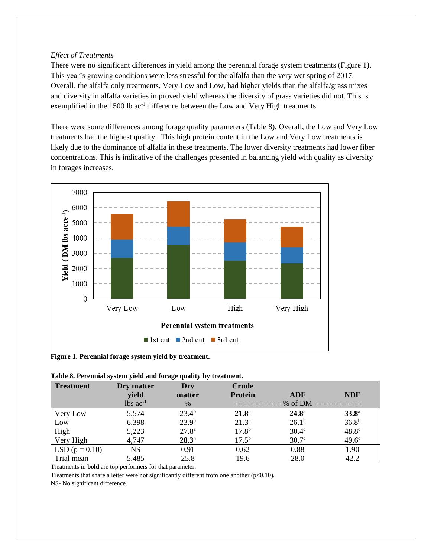### *Effect of Treatments*

There were no significant differences in yield among the perennial forage system treatments (Figure 1). This year's growing conditions were less stressful for the alfalfa than the very wet spring of 2017. Overall, the alfalfa only treatments, Very Low and Low, had higher yields than the alfalfa/grass mixes and diversity in alfalfa varieties improved yield whereas the diversity of grass varieties did not. This is exemplified in the 1500 lb ac<sup>-1</sup> difference between the Low and Very High treatments.

There were some differences among forage quality parameters (Table 8). Overall, the Low and Very Low treatments had the highest quality. This high protein content in the Low and Very Low treatments is likely due to the dominance of alfalfa in these treatments. The lower diversity treatments had lower fiber concentrations. This is indicative of the challenges presented in balancing yield with quality as diversity in forages increases.



**Figure 1. Perennial forage system yield by treatment.**

| <b>Treatment</b> | Dry matter<br>yield    | Dry<br>matter     | Crude<br><b>Protein</b> | ADF               | <b>NDF</b>        |
|------------------|------------------------|-------------------|-------------------------|-------------------|-------------------|
|                  | $lbs$ ac <sup>-1</sup> | $\%$              |                         | -% of DM-         |                   |
| Very Low         | 5,574                  | $23.4^{b}$        | 21.8 <sup>a</sup>       | $24.8^{\rm a}$    | 33.8 <sup>a</sup> |
| Low              | 6,398                  | 23.9 <sup>b</sup> | $21.3^{a}$              | $26.1^{b}$        | 36.8 <sup>b</sup> |
| High             | 5,223                  | 27.8 <sup>a</sup> | 17.8 <sup>b</sup>       | 30.4 <sup>c</sup> | 48.8 <sup>c</sup> |
| Very High        | 4,747                  | $28.3^{\rm a}$    | $17.5^{b}$              | 30.7 <sup>c</sup> | 49.6 <sup>c</sup> |
| LSD $(p = 0.10)$ | NS                     | 0.91              | 0.62                    | 0.88              | 1.90              |
| Trial mean       | 5,485                  | 25.8              | 19.6                    | 28.0              | 42.2              |

Treatments in **bold** are top performers for that parameter.

Treatments that share a letter were not significantly different from one another  $(p<0.10)$ .

NS- No significant difference.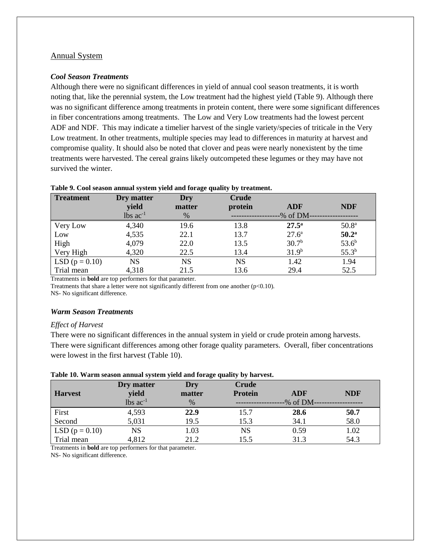#### Annual System

#### *Cool Season Treatments*

Although there were no significant differences in yield of annual cool season treatments, it is worth noting that, like the perennial system, the Low treatment had the highest yield (Table 9). Although there was no significant difference among treatments in protein content, there were some significant differences in fiber concentrations among treatments. The Low and Very Low treatments had the lowest percent ADF and NDF. This may indicate a timelier harvest of the single variety/species of triticale in the Very Low treatment. In other treatments, multiple species may lead to differences in maturity at harvest and compromise quality. It should also be noted that clover and peas were nearly nonexistent by the time treatments were harvested. The cereal grains likely outcompeted these legumes or they may have not survived the winter.

| <b>Treatment</b> | Dry matter<br>yield    | Dry<br>matter | Crude<br>protein | <b>ADF</b>        | <b>NDF</b>        |
|------------------|------------------------|---------------|------------------|-------------------|-------------------|
|                  | $lbs$ ac <sup>-1</sup> | $\%$          |                  | -% of DM-         |                   |
| Very Low         | 4,340                  | 19.6          | 13.8             | $27.5^{\rm a}$    | 50.8 <sup>a</sup> |
| Low              | 4,535                  | 22.1          | 13.7             | 27.6 <sup>a</sup> | $50.2^{\rm a}$    |
| High             | 4,079                  | 22.0          | 13.5             | 30.7 <sup>b</sup> | $53.6^{b}$        |
| Very High        | 4,320                  | 22.5          | 13.4             | 31.9 <sup>b</sup> | $55.3^{b}$        |
| LSD $(p = 0.10)$ | <b>NS</b>              | <b>NS</b>     | <b>NS</b>        | 1.42              | 1.94              |
| Trial mean       | 4,318                  | 21.5          | 13.6             | 29.4              | 52.5              |

#### **Table 9. Cool season annual system yield and forage quality by treatment.**

Treatments in **bold** are top performers for that parameter.

Treatments that share a letter were not significantly different from one another  $(p<0.10)$ .

NS- No significant difference.

#### *Warm Season Treatments*

#### *Effect of Harvest*

There were no significant differences in the annual system in yield or crude protein among harvests. There were significant differences among other forage quality parameters. Overall, fiber concentrations were lowest in the first harvest (Table 10).

|                    | Dry matter             | Dry    | <b>Crude</b>   |            |            |
|--------------------|------------------------|--------|----------------|------------|------------|
| <b>Harvest</b>     | yield                  | matter | <b>Protein</b> | ADF        | <b>NDF</b> |
|                    | $lbs$ ac <sup>-1</sup> | $\%$   |                | $%$ of DM- |            |
| First              | 4,593                  | 22.9   | 15.7           | 28.6       | 50.7       |
| Second             | 5,031                  | 19.5   | 15.3           | 34.1       | 58.0       |
| LSD ( $p = 0.10$ ) | <b>NS</b>              | 1.03   | NS             | 0.59       | 1.02       |
| Trial mean         | 4,812                  | 21.2   | 15.5           | 31.3       | 54.3       |

#### **Table 10. Warm season annual system yield and forage quality by harvest.**

Treatments in **bold** are top performers for that parameter.

NS- No significant difference.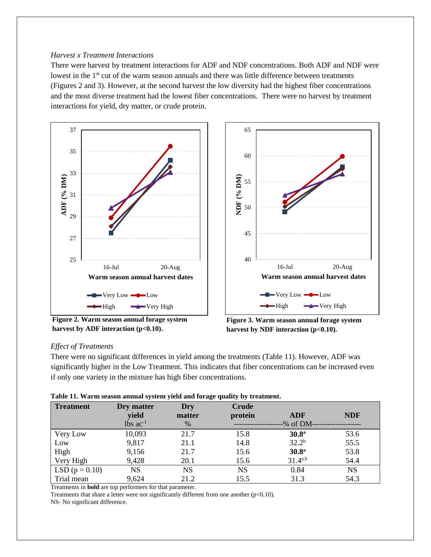#### *Harvest x Treatment Interactions*

There were harvest by treatment interactions for ADF and NDF concentrations. Both ADF and NDF were lowest in the 1<sup>st</sup> cut of the warm season annuals and there was little difference between treatments (Figures 2 and 3). However, at the second harvest the low diversity had the highest fiber concentrations and the most diverse treatment had the lowest fiber concentrations. There were no harvest by treatment interactions for yield, dry matter, or crude protein.



**Figure 2. Warm season annual forage system harvest by ADF interaction (p<0.10).**



**Figure 3. Warm season annual forage system**  harvest by NDF interaction (p<0.10).

### *Effect of Treatments*

There were no significant differences in yield among the treatments (Table 11). However, ADF was significantly higher in the Low Treatment. This indicates that fiber concentrations can be increased even if only one variety in the mixture has high fiber concentrations.

|  | Table 11. Warm season annual system yield and forage quality by treatment. |  |
|--|----------------------------------------------------------------------------|--|
|  |                                                                            |  |

| <b>Treatment</b> | Dry matter             | Dry       | <b>Crude</b> |                   |            |
|------------------|------------------------|-----------|--------------|-------------------|------------|
|                  | yield                  | matter    | protein      | <b>ADF</b>        | <b>NDF</b> |
|                  | $lbs$ ac <sup>-1</sup> | $\%$      |              | -% of DM-         |            |
| Very Low         | 10,093                 | 21.7      | 15.8         | 30.8 <sup>a</sup> | 53.6       |
| Low              | 9,817                  | 21.1      | 14.8         | $32.2^{b}$        | 55.5       |
| High             | 9,156                  | 21.7      | 15.6         | 30.8 <sup>a</sup> | 53.8       |
| Very High        | 9,428                  | 20.1      | 15.6         | $31.4^{a,b}$      | 54.4       |
| LSD $(p = 0.10)$ | <b>NS</b>              | <b>NS</b> | <b>NS</b>    | 0.84              | <b>NS</b>  |
| Trial mean       | 9,624                  | 21.2      | 15.5         | 31.3              | 54.3       |

Treatments in **bold** are top performers for that parameter.

Treatments that share a letter were not significantly different from one another (p<0.10).

NS- No significant difference.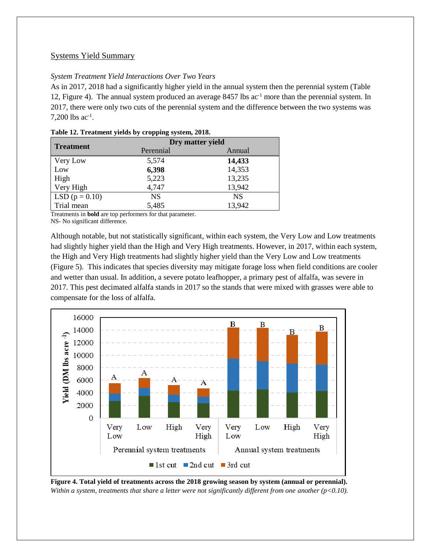## Systems Yield Summary

## *System Treatment Yield Interactions Over Two Years*

As in 2017, 2018 had a significantly higher yield in the annual system then the perennial system (Table 12, Figure 4). The annual system produced an average 8457 lbs ac<sup>-1</sup> more than the perennial system. In 2017, there were only two cuts of the perennial system and the difference between the two systems was 7,200 lbs  $ac^{-1}$ .

| <b>Treatment</b>   | Dry matter yield |           |  |  |
|--------------------|------------------|-----------|--|--|
|                    | Perennial        | Annual    |  |  |
| Very Low           | 5,574            | 14,433    |  |  |
| Low                | 6,398            | 14,353    |  |  |
| High               | 5,223            | 13,235    |  |  |
| Very High          | 4,747            | 13,942    |  |  |
| LSD ( $p = 0.10$ ) | <b>NS</b>        | <b>NS</b> |  |  |
| Trial mean         | 5,485            | 13,942    |  |  |

|  | Table 12. Treatment yields by cropping system, 2018. |  |  |  |
|--|------------------------------------------------------|--|--|--|
|  |                                                      |  |  |  |

Treatments in **bold** are top performers for that parameter.

NS- No significant difference.

Although notable, but not statistically significant, within each system, the Very Low and Low treatments had slightly higher yield than the High and Very High treatments. However, in 2017, within each system, the High and Very High treatments had slightly higher yield than the Very Low and Low treatments (Figure 5). This indicates that species diversity may mitigate forage loss when field conditions are cooler and wetter than usual. In addition, a severe potato leafhopper, a primary pest of alfalfa, was severe in 2017. This pest decimated alfalfa stands in 2017 so the stands that were mixed with grasses were able to compensate for the loss of alfalfa.



**Figure 4. Total yield of treatments across the 2018 growing season by system (annual or perennial).** *Within a system, treatments that share a letter were not significantly different from one another (p<0.10).*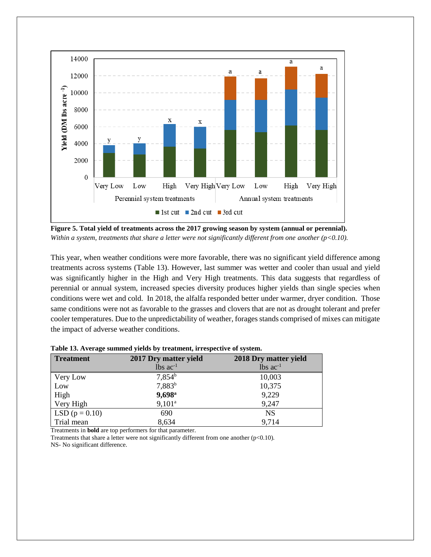

**Figure 5. Total yield of treatments across the 2017 growing season by system (annual or perennial).** *Within a system, treatments that share a letter were not significantly different from one another (p<0.10).*

This year, when weather conditions were more favorable, there was no significant yield difference among treatments across systems (Table 13). However, last summer was wetter and cooler than usual and yield was significantly higher in the High and Very High treatments. This data suggests that regardless of perennial or annual system, increased species diversity produces higher yields than single species when conditions were wet and cold. In 2018, the alfalfa responded better under warmer, dryer condition. Those same conditions were not as favorable to the grasses and clovers that are not as drought tolerant and prefer cooler temperatures. Due to the unpredictability of weather, forages stands comprised of mixes can mitigate the impact of adverse weather conditions.

| <b>Treatment</b> | 2017 Dry matter yield  | 2018 Dry matter yield  |  |  |
|------------------|------------------------|------------------------|--|--|
|                  | $lbs$ ac <sup>-1</sup> | $lbs$ ac <sup>-1</sup> |  |  |
| Very Low         | $7,854^b$              | 10,003                 |  |  |
| Low              | 7,883 <sup>b</sup>     | 10,375                 |  |  |
| High             | $9,698$ <sup>a</sup>   | 9,229                  |  |  |
| Very High        | $9,101^a$              | 9,247                  |  |  |
| LSD $(p = 0.10)$ | 690                    | <b>NS</b>              |  |  |
| Trial mean       | 8,634                  | 9,714                  |  |  |

**Table 13. Average summed yields by treatment, irrespective of system.**

Treatments in **bold** are top performers for that parameter.

Treatments that share a letter were not significantly different from one another (p<0.10). NS- No significant difference.